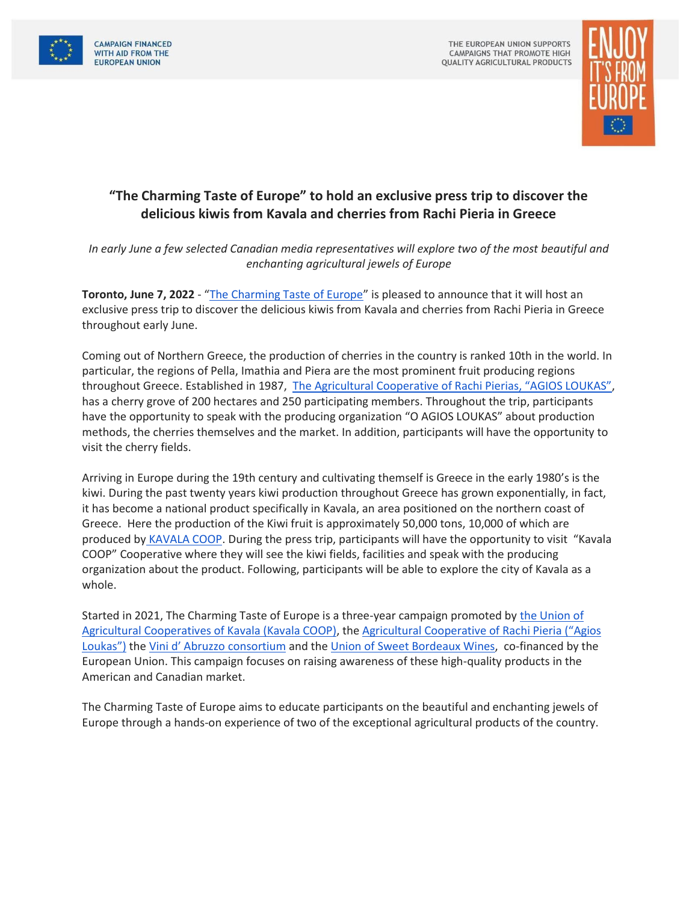



## **"The Charming Taste of Europe" to hold an exclusive press trip to discover the delicious kiwis from Kavala and cherries from Rachi Pieria in Greece**

*In early June a few selected Canadian media representatives will explore two of the most beautiful and enchanting agricultural jewels of Europe*

**Toronto, June 7, 2022** - "[The Charming Taste of Europe](https://www.charmingtasteofeurope.eu/en/)" is pleased to announce that it will host an exclusive press trip to discover the delicious kiwis from Kavala and cherries from Rachi Pieria in Greece throughout early June.

Coming out of Northern Greece, the production of cherries in the country is ranked 10th in the world. In particular, the regions of Pella, Imathia and Piera are the most prominent fruit producing regions throughout Greece. Established in 1987, [The Agricultural Cooperative of Rachi Pierias, "AGIOS LOUKAS"](https://kerasiarachis.gr/en/), has a cherry grove of 200 hectares and 250 participating members. Throughout the trip, participants have the opportunity to speak with the producing organization "O AGIOS LOUKAS" about production methods, the cherries themselves and the market. In addition, participants will have the opportunity to visit the cherry fields.

Arriving in Europe during the 19th century and cultivating themself is Greece in the early 1980's is the kiwi. During the past twenty years kiwi production throughout Greece has grown exponentially, in fact, it has become a national product specifically in Kavala, an area positioned on the northern coast of Greece. Here the production of the Kiwi fruit is approximately 50,000 tons, 10,000 of which are produced by [KAVALA COOP.](https://www.charmingtasteofeurope.eu/en/kavala-coop/) During the press trip, participants will have the opportunity to visit "Kavala COOP" Cooperative where they will see the kiwi fields, facilities and speak with the producing organization about the product. Following, participants will be able to explore the city of Kavala as a whole.

Started in 2021, The Charming Taste of Europe is a three-year campaign promoted by [the Union of](https://www.charmingtasteofeurope.eu/en/kavala-coop/)  [Agricultural Cooperatives of Kavala \(Kavala COOP\),](https://www.charmingtasteofeurope.eu/en/kavala-coop/) the [Agricultural Cooperative of Rachi Pieria \("Agios](https://kerasiarachis.gr/en/)  [Loukas"\)](https://kerasiarachis.gr/en/) the [Vini d' Abruzzo consortium](https://www.vinidabruzzo.it/en/) and the [Union of Sweet Bordeaux Wines,](https://www.sweetbordeaux.com/en) co-financed by the European Union. This campaign focuses on raising awareness of these high-quality products in the American and Canadian market.

The Charming Taste of Europe aims to educate participants on the beautiful and enchanting jewels of Europe through a hands-on experience of two of the exceptional agricultural products of the country.